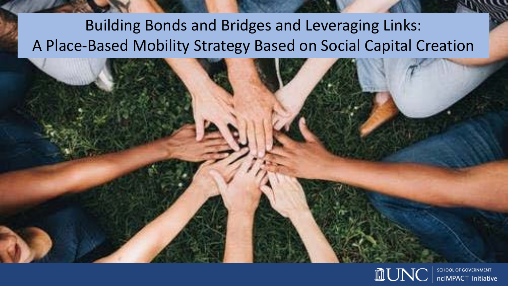#### Building Bonds and Bridges and Leveraging Links: A Place-Based Mobility Strategy Based on Social Capital Creation

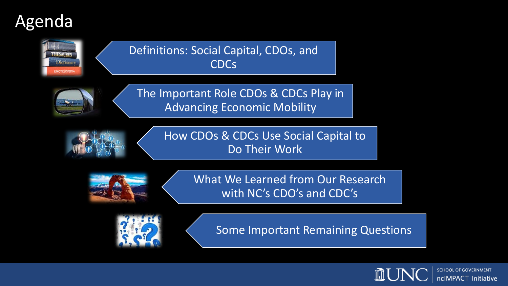### Agenda



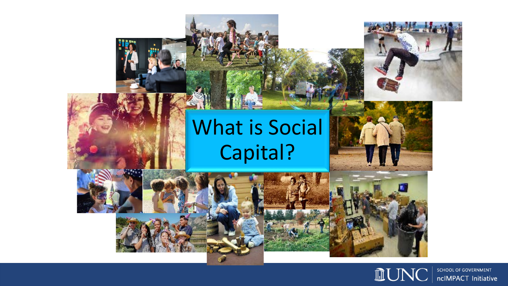

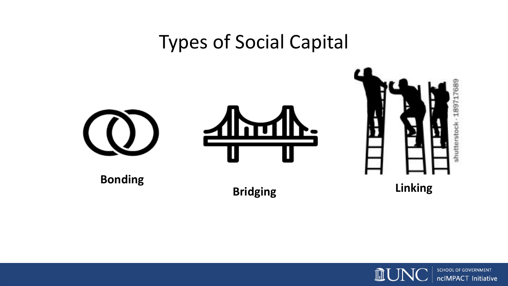#### Types of Social Capital



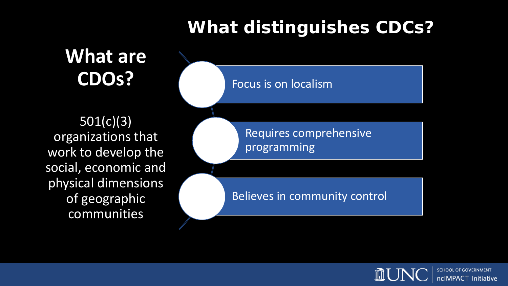#### **What distinguishes CDCs?**

**What are CDOs?**

501(c)(3) organizations that work to develop the social, economic and physical dimensions of geographic communities

Focus is on localism

Requires comprehensive programming

Believes in community control

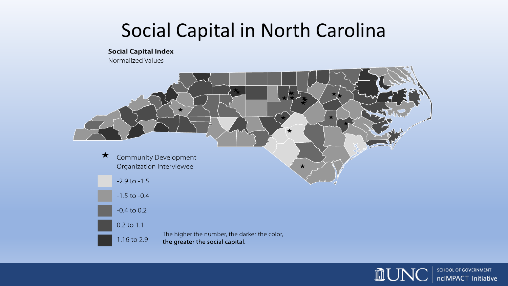# Social Capital in North Carolina

**Social Capital Index** 

Normalized Values



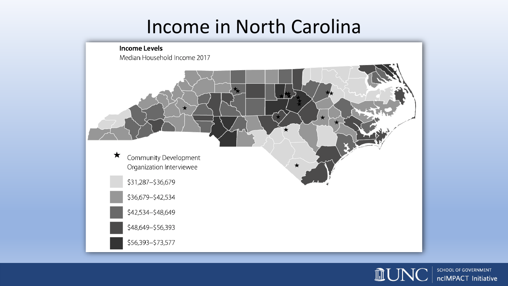# Income in North Carolina



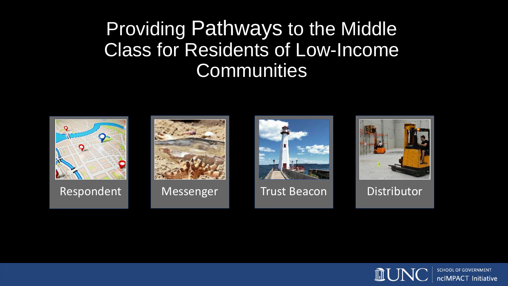### Providing Pathways to the Middle Class for Residents of Low-Income **Communities**



Respondent Messenger Trust Beacon Distributor







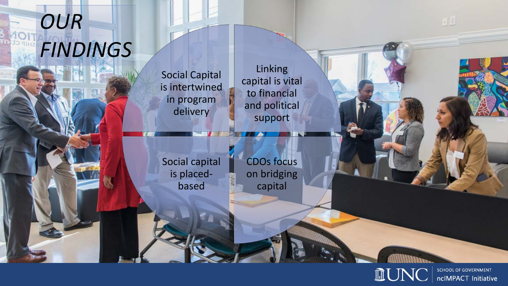# *OUR FINDINGS*

Social Capital is intertwined in program delivery

**Linking** capital is vital to financial and political support

Social capital is placedbased

CDOs focus on bridging capital



 $\frac{1}{2}$   $\frac{1}{2}$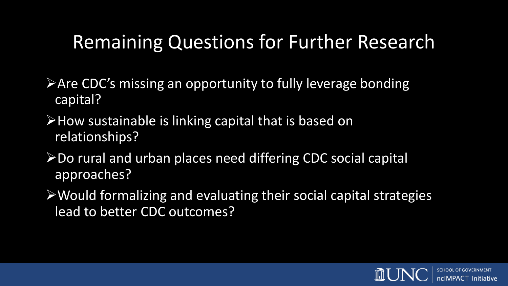# Remaining Questions for Further Research

- **Are CDC's missing an opportunity to fully leverage bonding** capital?
- $\triangleright$  How sustainable is linking capital that is based on relationships?
- **≻Do rural and urban places need differing CDC social capital** approaches?
- Would formalizing and evaluating their social capital strategies lead to better CDC outcomes?